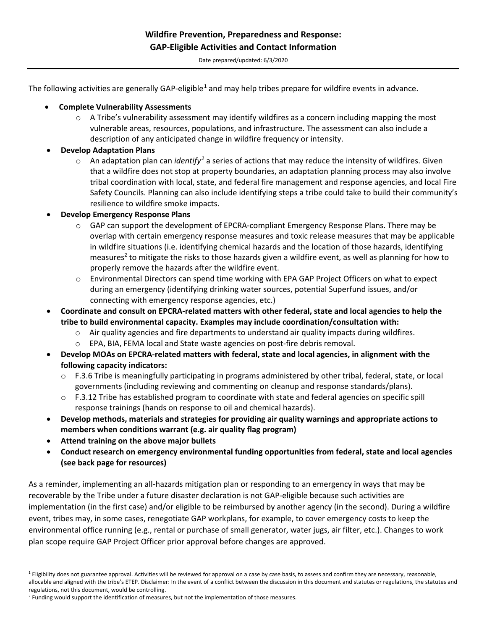Date prepared/updated: 6/3/2020

The following activities are generally GAP-eligible<sup>[1](#page-0-0)</sup> and may help tribes prepare for wildfire events in advance.

- **Complete Vulnerability Assessments**
	- $\circ$  A Tribe's vulnerability assessment may identify wildfires as a concern including mapping the most vulnerable areas, resources, populations, and infrastructure. The assessment can also include a description of any anticipated change in wildfire frequency or intensity.
- **Develop Adaptation Plans**
	- o An adaptation plan can *identify[2](#page-0-1)* a series of actions that may reduce the intensity of wildfires. Given that a wildfire does not stop at property boundaries, an adaptation planning process may also involve tribal coordination with local, state, and federal fire management and response agencies, and local Fire Safety Councils. Planning can also include identifying steps a tribe could take to build their community's resilience to wildfire smoke impacts.
- **Develop Emergency Response Plans**
	- $\circ$  GAP can support the development of EPCRA-compliant Emergency Response Plans. There may be overlap with certain emergency response measures and toxic release measures that may be applicable in wildfire situations (i.e. identifying chemical hazards and the location of those hazards, identifying measures<sup>2</sup> to mitigate the risks to those hazards given a wildfire event, as well as planning for how to properly remove the hazards after the wildfire event.
	- o Environmental Directors can spend time working with EPA GAP Project Officers on what to expect during an emergency (identifying drinking water sources, potential Superfund issues, and/or connecting with emergency response agencies, etc.)
- **Coordinate and consult on EPCRA-related matters with other federal, state and local agencies to help the tribe to build environmental capacity. Examples may include coordination/consultation with:**
	- $\circ$  Air quality agencies and fire departments to understand air quality impacts during wildfires.
	- o EPA, BIA, FEMA local and State waste agencies on post-fire debris removal.
- **Develop MOAs on EPCRA-related matters with federal, state and local agencies, in alignment with the following capacity indicators:** 
	- o F.3.6 Tribe is meaningfully participating in programs administered by other tribal, federal, state, or local governments (including reviewing and commenting on cleanup and response standards/plans).
	- $\circ$  F.3.12 Tribe has established program to coordinate with state and federal agencies on specific spill response trainings (hands on response to oil and chemical hazards).
- **Develop methods, materials and strategies for providing air quality warnings and appropriate actions to members when conditions warrant (e.g. air quality flag program)**
- **Attend training on the above major bullets**
- **Conduct research on emergency environmental funding opportunities from federal, state and local agencies (see back page for resources)**

As a reminder, implementing an all-hazards mitigation plan or responding to an emergency in ways that may be recoverable by the Tribe under a future disaster declaration is not GAP-eligible because such activities are implementation (in the first case) and/or eligible to be reimbursed by another agency (in the second). During a wildfire event, tribes may, in some cases, renegotiate GAP workplans, for example, to cover emergency costs to keep the environmental office running (e.g., rental or purchase of small generator, water jugs, air filter, etc.). Changes to work plan scope require GAP Project Officer prior approval before changes are approved.

<span id="page-0-0"></span><sup>&</sup>lt;sup>1</sup> Eligibility does not guarantee approval. Activities will be reviewed for approval on a case by case basis, to assess and confirm they are necessary, reasonable, allocable and aligned with the tribe's ETEP. Disclaimer: In the event of a conflict between the discussion in this document and statutes or regulations, the statutes and regulations, not this document, would be controlling.

<span id="page-0-1"></span><sup>&</sup>lt;sup>2</sup> Funding would support the identification of measures, but not the implementation of those measures.